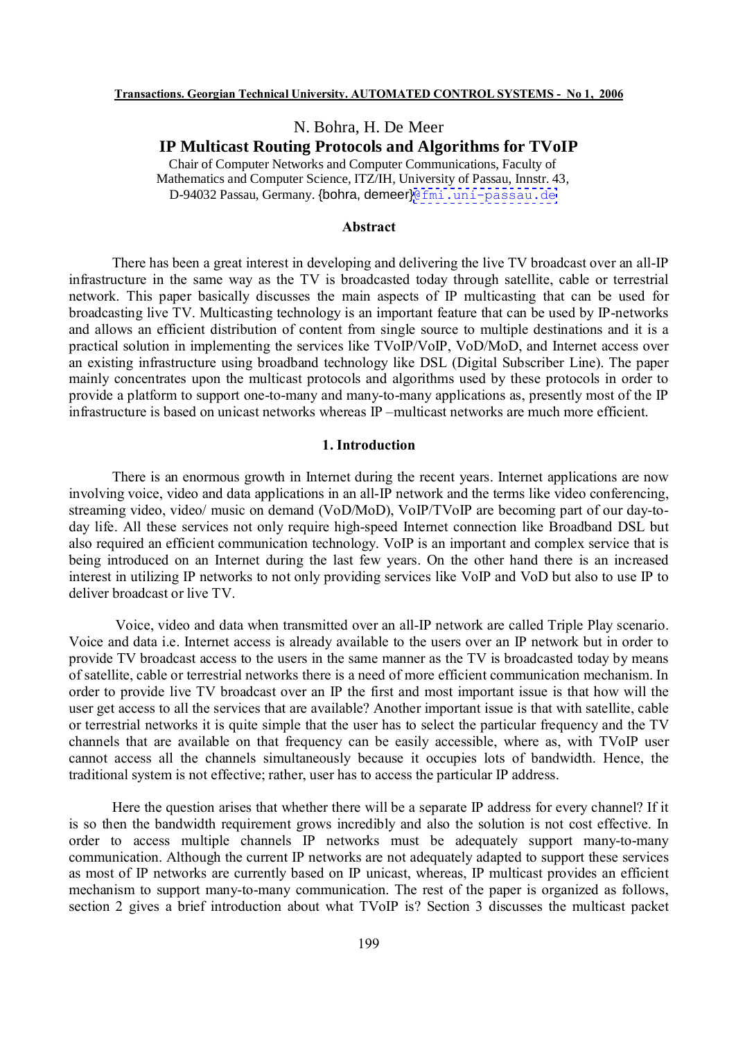# N. Bohra, H. De Meer

# **IP Multicast Routing Protocols and Algorithms for TVoIP**

Chair of Computer Networks and Computer Communications, Faculty of Mathematics and Computer Science, ITZ/IH, University of Passau, Innstr. 43, D-94032 Passau, Germany. {bohra, demeer}[@fmi.uni-passau.de](mailto:@fmi.uni-passau.de)

## **Abstract**

There has been a great interest in developing and delivering the live TV broadcast over an all-IP infrastructure in the same way as the TV is broadcasted today through satellite, cable or terrestrial network. This paper basically discusses the main aspects of IP multicasting that can be used for broadcasting live TV. Multicasting technology is an important feature that can be used by IP-networks and allows an efficient distribution of content from single source to multiple destinations and it is a practical solution in implementing the services like TVoIP/VoIP, VoD/MoD, and Internet access over an existing infrastructure using broadband technology like DSL (Digital Subscriber Line). The paper mainly concentrates upon the multicast protocols and algorithms used by these protocols in order to provide a platform to support one-to-many and many-to-many applications as, presently most of the IP infrastructure is based on unicast networks whereas IP –multicast networks are much more efficient.

## **1. Introduction**

There is an enormous growth in Internet during the recent years. Internet applications are now involving voice, video and data applications in an all-IP network and the terms like video conferencing, streaming video, video/ music on demand (VoD/MoD), VoIP/TVoIP are becoming part of our day-today life. All these services not only require high-speed Internet connection like Broadband DSL but also required an efficient communication technology. VoIP is an important and complex service that is being introduced on an Internet during the last few years. On the other hand there is an increased interest in utilizing IP networks to not only providing services like VoIP and VoD but also to use IP to deliver broadcast or live TV.

Voice, video and data when transmitted over an all-IP network are called Triple Play scenario. Voice and data i.e. Internet access is already available to the users over an IP network but in order to provide TV broadcast access to the users in the same manner as the TV is broadcasted today by means of satellite, cable or terrestrial networks there is a need of more efficient communication mechanism. In order to provide live TV broadcast over an IP the first and most important issue is that how will the user get access to all the services that are available? Another important issue is that with satellite, cable or terrestrial networks it is quite simple that the user has to select the particular frequency and the TV channels that are available on that frequency can be easily accessible, where as, with TVoIP user cannot access all the channels simultaneously because it occupies lots of bandwidth. Hence, the traditional system is not effective; rather, user has to access the particular IP address.

Here the question arises that whether there will be a separate IP address for every channel? If it is so then the bandwidth requirement grows incredibly and also the solution is not cost effective. In order to access multiple channels IP networks must be adequately support many-to-many communication. Although the current IP networks are not adequately adapted to support these services as most of IP networks are currently based on IP unicast, whereas, IP multicast provides an efficient mechanism to support many-to-many communication. The rest of the paper is organized as follows, section 2 gives a brief introduction about what TVoIP is? Section 3 discusses the multicast packet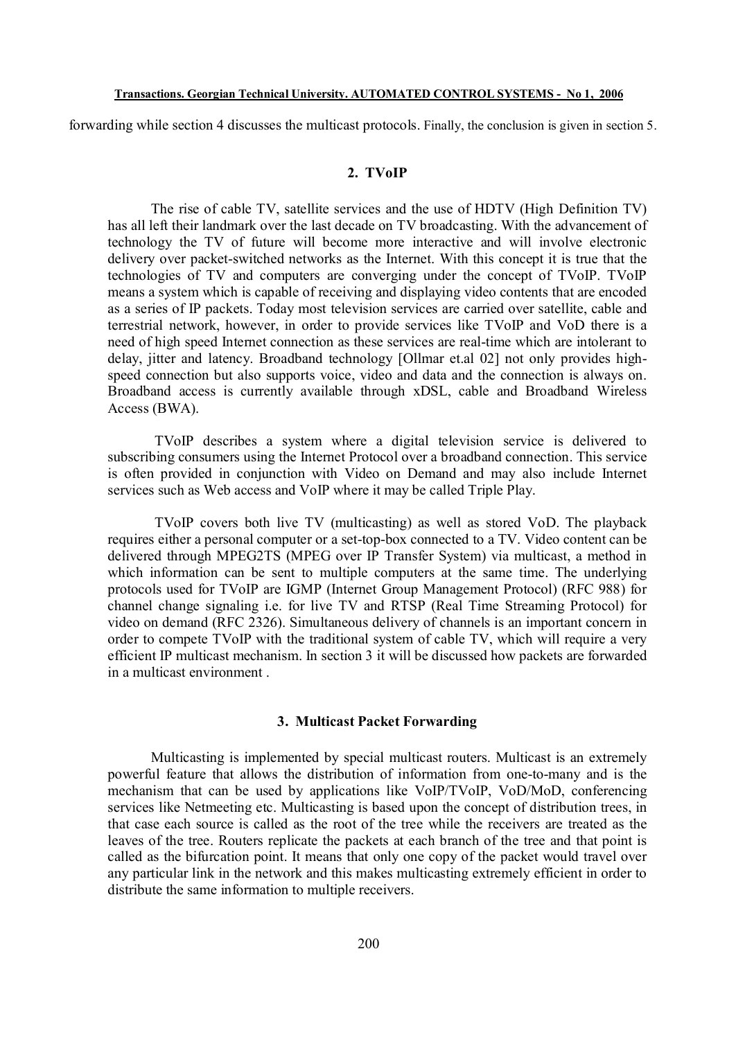forwarding while section 4 discusses the multicast protocols. Finally, the conclusion is given in section 5.

# **2. TVoIP**

The rise of cable TV, satellite services and the use of HDTV (High Definition TV) has all left their landmark over the last decade on TV broadcasting. With the advancement of technology the TV of future will become more interactive and will involve electronic delivery over packet-switched networks as the Internet. With this concept it is true that the technologies of TV and computers are converging under the concept of TVoIP. TVoIP means a system which is capable of receiving and displaying video contents that are encoded as a series of IP packets. Today most television services are carried over satellite, cable and terrestrial network, however, in order to provide services like TVoIP and VoD there is a need of high speed Internet connection as these services are real-time which are intolerant to delay, jitter and latency. Broadband technology [Ollmar et.al 02] not only provides highspeed connection but also supports voice, video and data and the connection is always on. Broadband access is currently available through xDSL, cable and Broadband Wireless Access (BWA).

TVoIP describes a system where a digital television service is delivered to subscribing consumers using the Internet Protocol over a broadband connection. This service is often provided in conjunction with Video on Demand and may also include Internet services such as Web access and VoIP where it may be called Triple Play.

TVoIP covers both live TV (multicasting) as well as stored VoD. The playback requires either a personal computer or a set-top-box connected to a TV. Video content can be delivered through MPEG2TS (MPEG over IP Transfer System) via multicast, a method in which information can be sent to multiple computers at the same time. The underlying protocols used for TVoIP are IGMP (Internet Group Management Protocol) (RFC 988) for channel change signaling i.e. for live TV and RTSP (Real Time Streaming Protocol) for video on demand (RFC 2326). Simultaneous delivery of channels is an important concern in order to compete TVoIP with the traditional system of cable TV, which will require a very efficient IP multicast mechanism. In section 3 it will be discussed how packets are forwarded in a multicast environment .

# **3. Multicast Packet Forwarding**

Multicasting is implemented by special multicast routers. Multicast is an extremely powerful feature that allows the distribution of information from one-to-many and is the mechanism that can be used by applications like VoIP/TVoIP, VoD/MoD, conferencing services like Netmeeting etc. Multicasting is based upon the concept of distribution trees, in that case each source is called as the root of the tree while the receivers are treated as the leaves of the tree. Routers replicate the packets at each branch of the tree and that point is called as the bifurcation point. It means that only one copy of the packet would travel over any particular link in the network and this makes multicasting extremely efficient in order to distribute the same information to multiple receivers.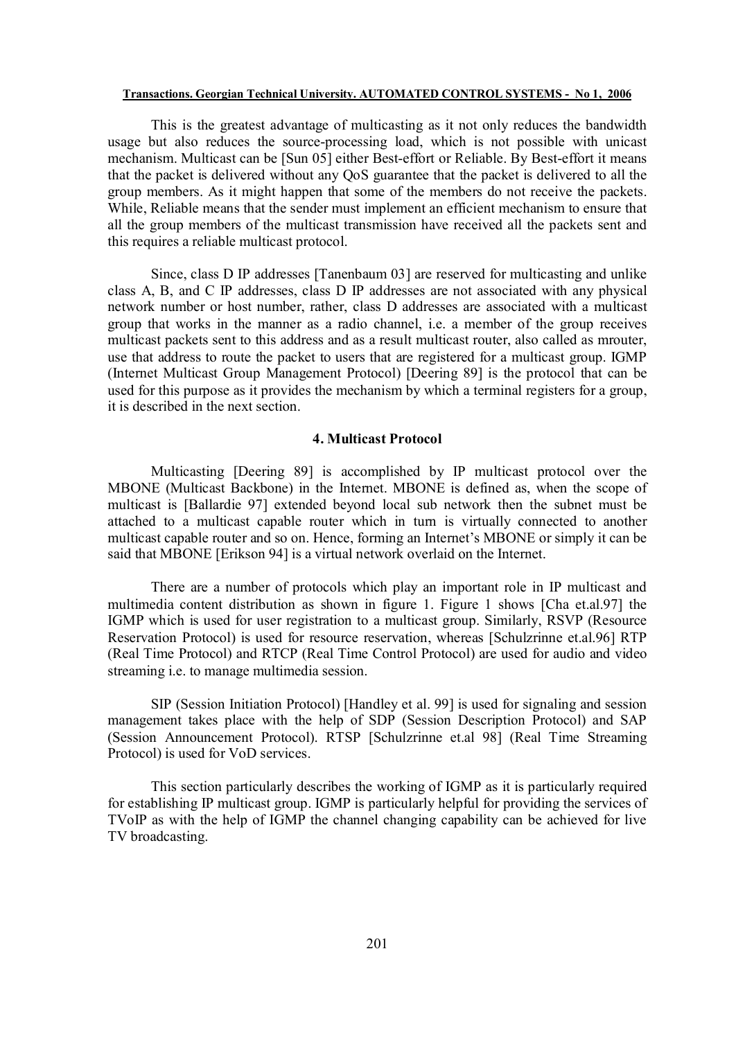This is the greatest advantage of multicasting as it not only reduces the bandwidth usage but also reduces the source-processing load, which is not possible with unicast mechanism. Multicast can be [Sun 05] either Best-effort or Reliable. By Best-effort it means that the packet is delivered without any QoS guarantee that the packet is delivered to all the group members. As it might happen that some of the members do not receive the packets. While, Reliable means that the sender must implement an efficient mechanism to ensure that all the group members of the multicast transmission have received all the packets sent and this requires a reliable multicast protocol.

Since, class D IP addresses [Tanenbaum 03] are reserved for multicasting and unlike class A, B, and C IP addresses, class D IP addresses are not associated with any physical network number or host number, rather, class D addresses are associated with a multicast group that works in the manner as a radio channel, i.e. a member of the group receives multicast packets sent to this address and as a result multicast router, also called as mrouter, use that address to route the packet to users that are registered for a multicast group. IGMP (Internet Multicast Group Management Protocol) [Deering 89] is the protocol that can be used for this purpose as it provides the mechanism by which a terminal registers for a group, it is described in the next section.

# **4. Multicast Protocol**

Multicasting [Deering 89] is accomplished by IP multicast protocol over the MBONE (Multicast Backbone) in the Internet. MBONE is defined as, when the scope of multicast is [Ballardie 97] extended beyond local sub network then the subnet must be attached to a multicast capable router which in turn is virtually connected to another multicast capable router and so on. Hence, forming an Internet's MBONE or simply it can be said that MBONE [Erikson 94] is a virtual network overlaid on the Internet.

There are a number of protocols which play an important role in IP multicast and multimedia content distribution as shown in figure 1. Figure 1 shows [Cha et.al.97] the IGMP which is used for user registration to a multicast group. Similarly, RSVP (Resource Reservation Protocol) is used for resource reservation, whereas [Schulzrinne et.al.96] RTP (Real Time Protocol) and RTCP (Real Time Control Protocol) are used for audio and video streaming i.e. to manage multimedia session.

SIP (Session Initiation Protocol) [Handley et al. 99] is used for signaling and session management takes place with the help of SDP (Session Description Protocol) and SAP (Session Announcement Protocol). RTSP [Schulzrinne et.al 98] (Real Time Streaming Protocol) is used for VoD services.

This section particularly describes the working of IGMP as it is particularly required for establishing IP multicast group. IGMP is particularly helpful for providing the services of TVoIP as with the help of IGMP the channel changing capability can be achieved for live TV broadcasting.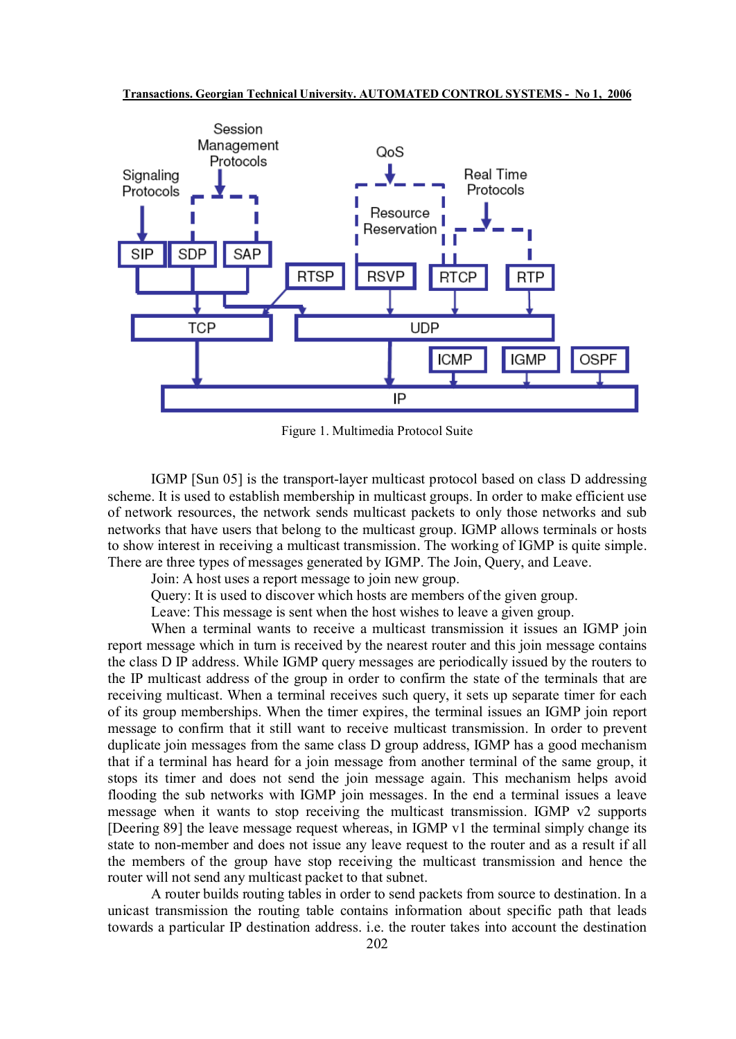

Figure 1. Multimedia Protocol Suite

IGMP [Sun 05] is the transport-layer multicast protocol based on class D addressing scheme. It is used to establish membership in multicast groups. In order to make efficient use of network resources, the network sends multicast packets to only those networks and sub networks that have users that belong to the multicast group. IGMP allows terminals or hosts to show interest in receiving a multicast transmission. The working of IGMP is quite simple. There are three types of messages generated by IGMP. The Join, Query, and Leave.

Join: A host uses a report message to join new group.

Query: It is used to discover which hosts are members of the given group.

Leave: This message is sent when the host wishes to leave a given group.

When a terminal wants to receive a multicast transmission it issues an IGMP join report message which in turn is received by the nearest router and this join message contains the class D IP address. While IGMP query messages are periodically issued by the routers to the IP multicast address of the group in order to confirm the state of the terminals that are receiving multicast. When a terminal receives such query, it sets up separate timer for each of its group memberships. When the timer expires, the terminal issues an IGMP join report message to confirm that it still want to receive multicast transmission. In order to prevent duplicate join messages from the same class D group address, IGMP has a good mechanism that if a terminal has heard for a join message from another terminal of the same group, it stops its timer and does not send the join message again. This mechanism helps avoid flooding the sub networks with IGMP join messages. In the end a terminal issues a leave message when it wants to stop receiving the multicast transmission. IGMP v2 supports [Deering 89] the leave message request whereas, in IGMP v1 the terminal simply change its state to non-member and does not issue any leave request to the router and as a result if all the members of the group have stop receiving the multicast transmission and hence the router will not send any multicast packet to that subnet.

A router builds routing tables in order to send packets from source to destination. In a unicast transmission the routing table contains information about specific path that leads towards a particular IP destination address. i.e. the router takes into account the destination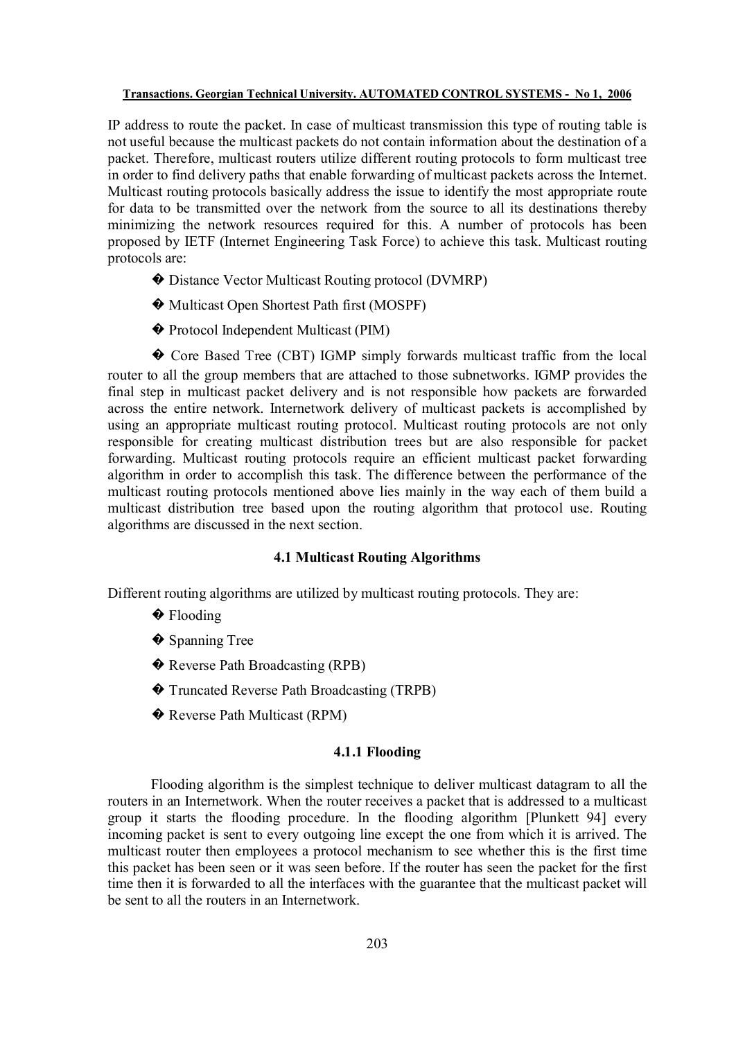IP address to route the packet. In case of multicast transmission this type of routing table is not useful because the multicast packets do not contain information about the destination of a packet. Therefore, multicast routers utilize different routing protocols to form multicast tree in order to find delivery paths that enable forwarding of multicast packets across the Internet. Multicast routing protocols basically address the issue to identify the most appropriate route for data to be transmitted over the network from the source to all its destinations thereby minimizing the network resources required for this. A number of protocols has been proposed by IETF (Internet Engineering Task Force) to achieve this task. Multicast routing protocols are:

- � Distance Vector Multicast Routing protocol (DVMRP)
- � Multicast Open Shortest Path first (MOSPF)
- � Protocol Independent Multicast (PIM)

� Core Based Tree (CBT) IGMP simply forwards multicast traffic from the local router to all the group members that are attached to those subnetworks. IGMP provides the final step in multicast packet delivery and is not responsible how packets are forwarded across the entire network. Internetwork delivery of multicast packets is accomplished by using an appropriate multicast routing protocol. Multicast routing protocols are not only responsible for creating multicast distribution trees but are also responsible for packet forwarding. Multicast routing protocols require an efficient multicast packet forwarding algorithm in order to accomplish this task. The difference between the performance of the multicast routing protocols mentioned above lies mainly in the way each of them build a multicast distribution tree based upon the routing algorithm that protocol use. Routing algorithms are discussed in the next section.

### **4.1 Multicast Routing Algorithms**

Different routing algorithms are utilized by multicast routing protocols. They are:

- **♦** Flooding
- ◆ Spanning Tree
- � Reverse Path Broadcasting (RPB)
- � Truncated Reverse Path Broadcasting (TRPB)
- � Reverse Path Multicast (RPM)

# **4.1.1 Flooding**

Flooding algorithm is the simplest technique to deliver multicast datagram to all the routers in an Internetwork. When the router receives a packet that is addressed to a multicast group it starts the flooding procedure. In the flooding algorithm [Plunkett 94] every incoming packet is sent to every outgoing line except the one from which it is arrived. The multicast router then employees a protocol mechanism to see whether this is the first time this packet has been seen or it was seen before. If the router has seen the packet for the first time then it is forwarded to all the interfaces with the guarantee that the multicast packet will be sent to all the routers in an Internetwork.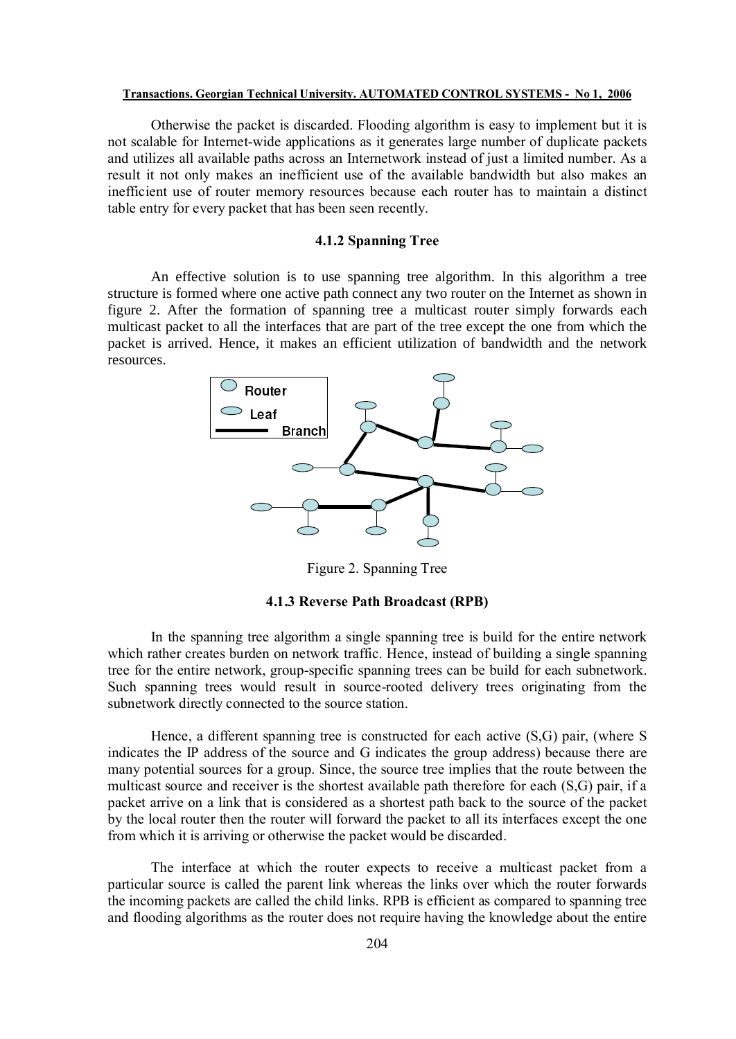Otherwise the packet is discarded. Flooding algorithm is easy to implement but it is not scalable for Internet-wide applications as it generates large number of duplicate packets and utilizes all available paths across an Internetwork instead of just a limited number. As a result it not only makes an inefficient use of the available bandwidth but also makes an inefficient use of router memory resources because each router has to maintain a distinct table entry for every packet that has been seen recently.

# **4.1.2 Spanning Tree**

An effective solution is to use spanning tree algorithm. In this algorithm a tree structure is formed where one active path connect any two router on the Internet as shown in figure 2. After the formation of spanning tree a multicast router simply forwards each multicast packet to all the interfaces that are part of the tree except the one from which the packet is arrived. Hence, it makes an efficient utilization of bandwidth and the network resources.



Figure 2. Spanning Tree

# **4.1.3 Reverse Path Broadcast (RPB)**

In the spanning tree algorithm a single spanning tree is build for the entire network which rather creates burden on network traffic. Hence, instead of building a single spanning tree for the entire network, group-specific spanning trees can be build for each subnetwork. Such spanning trees would result in source-rooted delivery trees originating from the subnetwork directly connected to the source station.

Hence, a different spanning tree is constructed for each active (S,G) pair, (where S indicates the IP address of the source and G indicates the group address) because there are many potential sources for a group. Since, the source tree implies that the route between the multicast source and receiver is the shortest available path therefore for each (S,G) pair, if a packet arrive on a link that is considered as a shortest path back to the source of the packet by the local router then the router will forward the packet to all its interfaces except the one from which it is arriving or otherwise the packet would be discarded.

The interface at which the router expects to receive a multicast packet from a particular source is called the parent link whereas the links over which the router forwards the incoming packets are called the child links. RPB is efficient as compared to spanning tree and flooding algorithms as the router does not require having the knowledge about the entire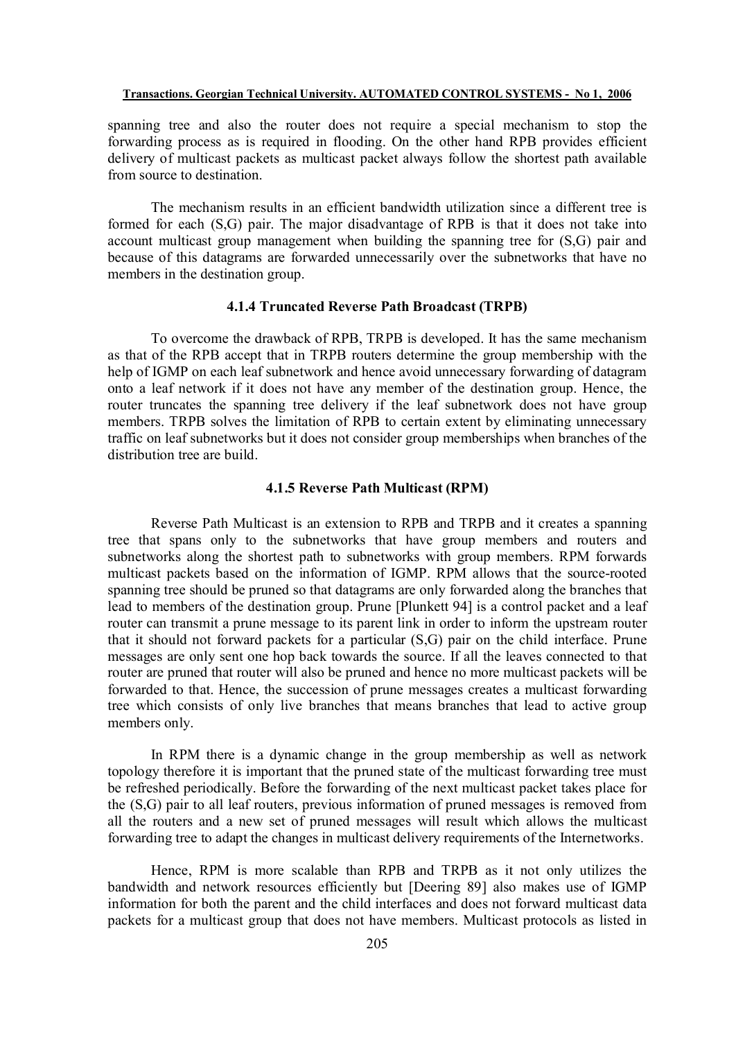spanning tree and also the router does not require a special mechanism to stop the forwarding process as is required in flooding. On the other hand RPB provides efficient delivery of multicast packets as multicast packet always follow the shortest path available from source to destination.

The mechanism results in an efficient bandwidth utilization since a different tree is formed for each (S,G) pair. The major disadvantage of RPB is that it does not take into account multicast group management when building the spanning tree for (S,G) pair and because of this datagrams are forwarded unnecessarily over the subnetworks that have no members in the destination group.

# **4.1.4 Truncated Reverse Path Broadcast (TRPB)**

To overcome the drawback of RPB, TRPB is developed. It has the same mechanism as that of the RPB accept that in TRPB routers determine the group membership with the help of IGMP on each leaf subnetwork and hence avoid unnecessary forwarding of datagram onto a leaf network if it does not have any member of the destination group. Hence, the router truncates the spanning tree delivery if the leaf subnetwork does not have group members. TRPB solves the limitation of RPB to certain extent by eliminating unnecessary traffic on leaf subnetworks but it does not consider group memberships when branches of the distribution tree are build.

### **4.1.5 Reverse Path Multicast (RPM)**

Reverse Path Multicast is an extension to RPB and TRPB and it creates a spanning tree that spans only to the subnetworks that have group members and routers and subnetworks along the shortest path to subnetworks with group members. RPM forwards multicast packets based on the information of IGMP. RPM allows that the source-rooted spanning tree should be pruned so that datagrams are only forwarded along the branches that lead to members of the destination group. Prune [Plunkett 94] is a control packet and a leaf router can transmit a prune message to its parent link in order to inform the upstream router that it should not forward packets for a particular (S,G) pair on the child interface. Prune messages are only sent one hop back towards the source. If all the leaves connected to that router are pruned that router will also be pruned and hence no more multicast packets will be forwarded to that. Hence, the succession of prune messages creates a multicast forwarding tree which consists of only live branches that means branches that lead to active group members only.

In RPM there is a dynamic change in the group membership as well as network topology therefore it is important that the pruned state of the multicast forwarding tree must be refreshed periodically. Before the forwarding of the next multicast packet takes place for the (S,G) pair to all leaf routers, previous information of pruned messages is removed from all the routers and a new set of pruned messages will result which allows the multicast forwarding tree to adapt the changes in multicast delivery requirements of the Internetworks.

Hence, RPM is more scalable than RPB and TRPB as it not only utilizes the bandwidth and network resources efficiently but [Deering 89] also makes use of IGMP information for both the parent and the child interfaces and does not forward multicast data packets for a multicast group that does not have members. Multicast protocols as listed in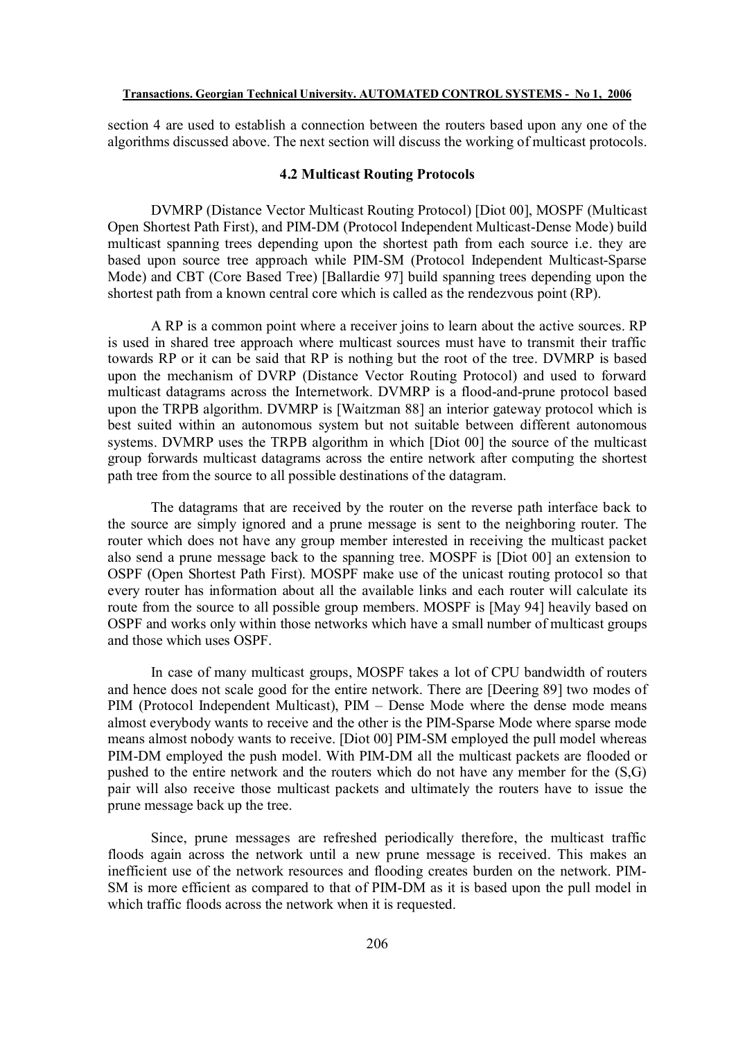section 4 are used to establish a connection between the routers based upon any one of the algorithms discussed above. The next section will discuss the working of multicast protocols.

# **4.2 Multicast Routing Protocols**

DVMRP (Distance Vector Multicast Routing Protocol) [Diot 00], MOSPF (Multicast Open Shortest Path First), and PIM-DM (Protocol Independent Multicast-Dense Mode) build multicast spanning trees depending upon the shortest path from each source i.e. they are based upon source tree approach while PIM-SM (Protocol Independent Multicast-Sparse Mode) and CBT (Core Based Tree) [Ballardie 97] build spanning trees depending upon the shortest path from a known central core which is called as the rendezvous point (RP).

A RP is a common point where a receiver joins to learn about the active sources. RP is used in shared tree approach where multicast sources must have to transmit their traffic towards RP or it can be said that RP is nothing but the root of the tree. DVMRP is based upon the mechanism of DVRP (Distance Vector Routing Protocol) and used to forward multicast datagrams across the Internetwork. DVMRP is a flood-and-prune protocol based upon the TRPB algorithm. DVMRP is [Waitzman 88] an interior gateway protocol which is best suited within an autonomous system but not suitable between different autonomous systems. DVMRP uses the TRPB algorithm in which [Diot 00] the source of the multicast group forwards multicast datagrams across the entire network after computing the shortest path tree from the source to all possible destinations of the datagram.

The datagrams that are received by the router on the reverse path interface back to the source are simply ignored and a prune message is sent to the neighboring router. The router which does not have any group member interested in receiving the multicast packet also send a prune message back to the spanning tree. MOSPF is [Diot 00] an extension to OSPF (Open Shortest Path First). MOSPF make use of the unicast routing protocol so that every router has information about all the available links and each router will calculate its route from the source to all possible group members. MOSPF is [May 94] heavily based on OSPF and works only within those networks which have a small number of multicast groups and those which uses OSPF.

In case of many multicast groups, MOSPF takes a lot of CPU bandwidth of routers and hence does not scale good for the entire network. There are [Deering 89] two modes of PIM (Protocol Independent Multicast), PIM – Dense Mode where the dense mode means almost everybody wants to receive and the other is the PIM-Sparse Mode where sparse mode means almost nobody wants to receive. [Diot 00] PIM-SM employed the pull model whereas PIM-DM employed the push model. With PIM-DM all the multicast packets are flooded or pushed to the entire network and the routers which do not have any member for the (S,G) pair will also receive those multicast packets and ultimately the routers have to issue the prune message back up the tree.

Since, prune messages are refreshed periodically therefore, the multicast traffic floods again across the network until a new prune message is received. This makes an inefficient use of the network resources and flooding creates burden on the network. PIM-SM is more efficient as compared to that of PIM-DM as it is based upon the pull model in which traffic floods across the network when it is requested.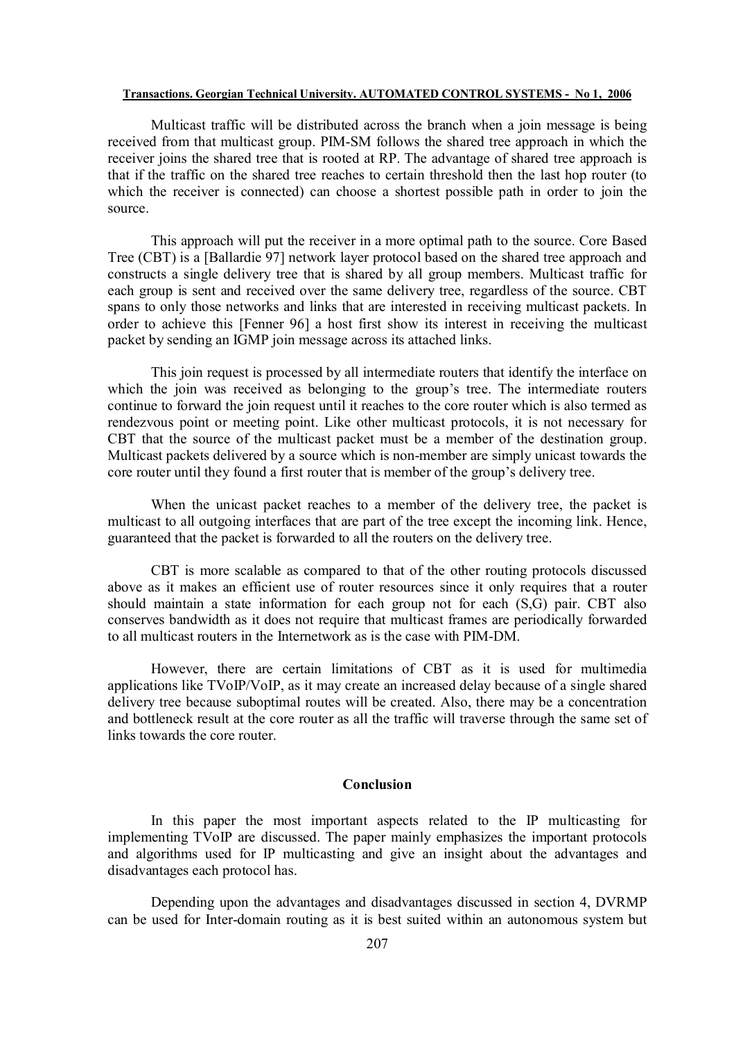Multicast traffic will be distributed across the branch when a join message is being received from that multicast group. PIM-SM follows the shared tree approach in which the receiver joins the shared tree that is rooted at RP. The advantage of shared tree approach is that if the traffic on the shared tree reaches to certain threshold then the last hop router (to which the receiver is connected) can choose a shortest possible path in order to join the source.

This approach will put the receiver in a more optimal path to the source. Core Based Tree (CBT) is a [Ballardie 97] network layer protocol based on the shared tree approach and constructs a single delivery tree that is shared by all group members. Multicast traffic for each group is sent and received over the same delivery tree, regardless of the source. CBT spans to only those networks and links that are interested in receiving multicast packets. In order to achieve this [Fenner 96] a host first show its interest in receiving the multicast packet by sending an IGMP join message across its attached links.

This join request is processed by all intermediate routers that identify the interface on which the join was received as belonging to the group's tree. The intermediate routers continue to forward the join request until it reaches to the core router which is also termed as rendezvous point or meeting point. Like other multicast protocols, it is not necessary for CBT that the source of the multicast packet must be a member of the destination group. Multicast packets delivered by a source which is non-member are simply unicast towards the core router until they found a first router that is member of the group's delivery tree.

When the unicast packet reaches to a member of the delivery tree, the packet is multicast to all outgoing interfaces that are part of the tree except the incoming link. Hence, guaranteed that the packet is forwarded to all the routers on the delivery tree.

CBT is more scalable as compared to that of the other routing protocols discussed above as it makes an efficient use of router resources since it only requires that a router should maintain a state information for each group not for each (S,G) pair. CBT also conserves bandwidth as it does not require that multicast frames are periodically forwarded to all multicast routers in the Internetwork as is the case with PIM-DM.

However, there are certain limitations of CBT as it is used for multimedia applications like TVoIP/VoIP, as it may create an increased delay because of a single shared delivery tree because suboptimal routes will be created. Also, there may be a concentration and bottleneck result at the core router as all the traffic will traverse through the same set of links towards the core router.

# **Conclusion**

In this paper the most important aspects related to the IP multicasting for implementing TVoIP are discussed. The paper mainly emphasizes the important protocols and algorithms used for IP multicasting and give an insight about the advantages and disadvantages each protocol has.

Depending upon the advantages and disadvantages discussed in section 4, DVRMP can be used for Inter-domain routing as it is best suited within an autonomous system but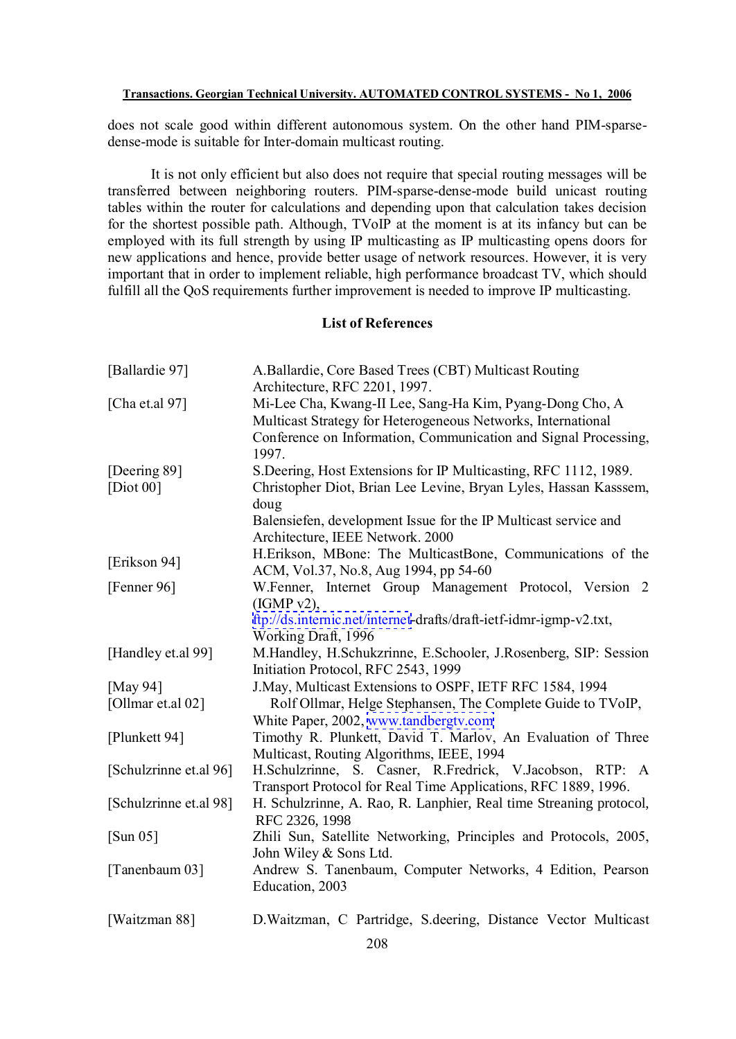does not scale good within different autonomous system. On the other hand PIM-sparsedense-mode is suitable for Inter-domain multicast routing.

It is not only efficient but also does not require that special routing messages will be transferred between neighboring routers. PIM-sparse-dense-mode build unicast routing tables within the router for calculations and depending upon that calculation takes decision for the shortest possible path. Although, TVoIP at the moment is at its infancy but can be employed with its full strength by using IP multicasting as IP multicasting opens doors for new applications and hence, provide better usage of network resources. However, it is very important that in order to implement reliable, high performance broadcast TV, which should fulfill all the QoS requirements further improvement is needed to improve IP multicasting.

# **List of References**

| [Ballardie 97]                | A.Ballardie, Core Based Trees (CBT) Multicast Routing                                                                                                                                                                                                        |
|-------------------------------|--------------------------------------------------------------------------------------------------------------------------------------------------------------------------------------------------------------------------------------------------------------|
| [Cha et.al $97$ ]             | Architecture, RFC 2201, 1997.<br>Mi-Lee Cha, Kwang-II Lee, Sang-Ha Kim, Pyang-Dong Cho, A<br>Multicast Strategy for Heterogeneous Networks, International<br>Conference on Information, Communication and Signal Processing,                                 |
| [Deering 89]<br>[ $Diot 00$ ] | 1997.<br>S. Deering, Host Extensions for IP Multicasting, RFC 1112, 1989.<br>Christopher Diot, Brian Lee Levine, Bryan Lyles, Hassan Kasssem,<br>doug<br>Balensiefen, development Issue for the IP Multicast service and<br>Architecture, IEEE Network. 2000 |
| [Erikson 94]                  | H.Erikson, MBone: The MulticastBone, Communications of the<br>ACM, Vol.37, No.8, Aug 1994, pp 54-60                                                                                                                                                          |
| [Fenner 96]                   | W.Fenner, Internet Group Management Protocol, Version 2<br>(IGMP v2),                                                                                                                                                                                        |
|                               | ftp://ds.internic.net/internet-drafts/draft-ietf-idmr-igmp-v2.txt,<br>Working Draft, 1996                                                                                                                                                                    |
| [Handley et.al 99]            | M.Handley, H.Schukzrinne, E.Schooler, J.Rosenberg, SIP: Session<br>Initiation Protocol, RFC 2543, 1999                                                                                                                                                       |
| [May 94]                      | J.May, Multicast Extensions to OSPF, IETF RFC 1584, 1994                                                                                                                                                                                                     |
| [Ollmar et.al 02]             | Rolf Ollmar, Helge Stephansen, The Complete Guide to TVoIP,<br>White Paper, 2002, www.tandbergtv.com                                                                                                                                                         |
| [Plunkett 94]                 | Timothy R. Plunkett, David T. Marlov, An Evaluation of Three<br>Multicast, Routing Algorithms, IEEE, 1994                                                                                                                                                    |
| [Schulzrinne et.al 96]        | H.Schulzrinne, S. Casner, R.Fredrick, V.Jacobson, RTP: A<br>Transport Protocol for Real Time Applications, RFC 1889, 1996.                                                                                                                                   |
| [Schulzrinne et.al 98]        | H. Schulzrinne, A. Rao, R. Lanphier, Real time Streaning protocol,<br>RFC 2326, 1998                                                                                                                                                                         |
| [Sum 05]                      | Zhili Sun, Satellite Networking, Principles and Protocols, 2005,<br>John Wiley & Sons Ltd.                                                                                                                                                                   |
| [Tanenbaum 03]                | Andrew S. Tanenbaum, Computer Networks, 4 Edition, Pearson<br>Education, 2003                                                                                                                                                                                |
| [Waitzman 88]                 | D. Waitzman, C Partridge, S. deering, Distance Vector Multicast                                                                                                                                                                                              |